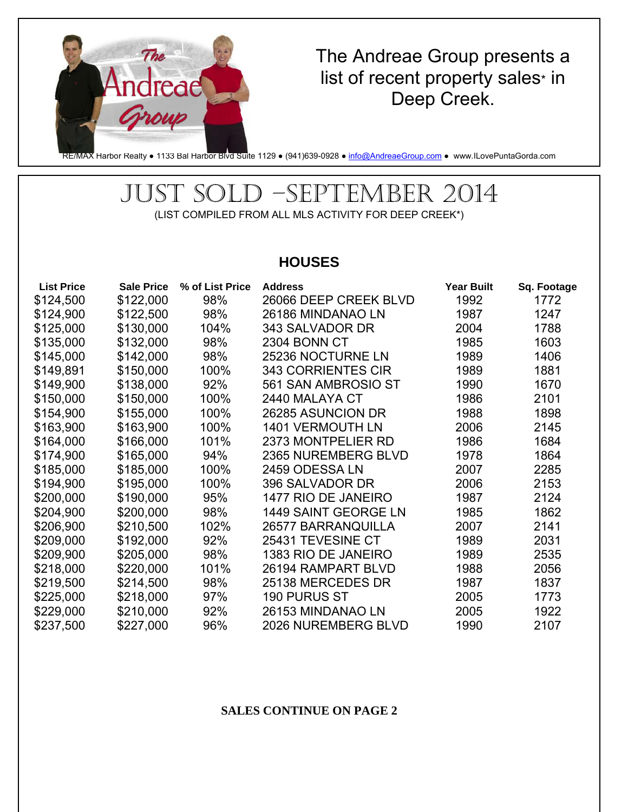

## The Andreae Group presents a list of recent property sales\* in Deep Creek.

RE/MAX Harbor Realty • 1133 Bal Harbor Blvd Suite 1129 • (941)639-0928 • info@AndreaeGroup.com • www.ILovePuntaGorda.com

## JUST SOLD –SEPTEMBER 2014 (LIST COMPILED FROM ALL MLS ACTIVITY FOR DEEP CREEK\*)

### **HOUSES**

| <b>List Price</b> | <b>Sale Price</b> | % of List Price | <b>Address</b>            | <b>Year Built</b> | Sq. Footage |
|-------------------|-------------------|-----------------|---------------------------|-------------------|-------------|
| \$124,500         | \$122,000         | 98%             | 26066 DEEP CREEK BLVD     | 1992              | 1772        |
| \$124,900         | \$122,500         | 98%             | 26186 MINDANAO LN         | 1987              | 1247        |
| \$125,000         | \$130,000         | 104%            | 343 SALVADOR DR           | 2004              | 1788        |
| \$135,000         | \$132,000         | 98%             | 2304 BONN CT              | 1985              | 1603        |
| \$145,000         | \$142,000         | 98%             | 25236 NOCTURNE LN         | 1989              | 1406        |
| \$149,891         | \$150,000         | 100%            | <b>343 CORRIENTES CIR</b> | 1989              | 1881        |
| \$149,900         | \$138,000         | 92%             | 561 SAN AMBROSIO ST       | 1990              | 1670        |
| \$150,000         | \$150,000         | 100%            | 2440 MALAYA CT            | 1986              | 2101        |
| \$154,900         | \$155,000         | 100%            | 26285 ASUNCION DR         | 1988              | 1898        |
| \$163,900         | \$163,900         | 100%            | <b>1401 VERMOUTH LN</b>   | 2006              | 2145        |
| \$164,000         | \$166,000         | 101%            | 2373 MONTPELIER RD        | 1986              | 1684        |
| \$174,900         | \$165,000         | 94%             | 2365 NUREMBERG BLVD       | 1978              | 1864        |
| \$185,000         | \$185,000         | 100%            | 2459 ODESSA LN            | 2007              | 2285        |
| \$194,900         | \$195,000         | 100%            | 396 SALVADOR DR           | 2006              | 2153        |
| \$200,000         | \$190,000         | 95%             | 1477 RIO DE JANEIRO       | 1987              | 2124        |
| \$204,900         | \$200,000         | 98%             | 1449 SAINT GEORGE LN      | 1985              | 1862        |
| \$206,900         | \$210,500         | 102%            | 26577 BARRANQUILLA        | 2007              | 2141        |
| \$209,000         | \$192,000         | 92%             | 25431 TEVESINE CT         | 1989              | 2031        |
| \$209,900         | \$205,000         | 98%             | 1383 RIO DE JANEIRO       | 1989              | 2535        |
| \$218,000         | \$220,000         | 101%            | 26194 RAMPART BLVD        | 1988              | 2056        |
| \$219,500         | \$214,500         | 98%             | 25138 MERCEDES DR         | 1987              | 1837        |
| \$225,000         | \$218,000         | 97%             | <b>190 PURUS ST</b>       | 2005              | 1773        |
| \$229,000         | \$210,000         | 92%             | 26153 MINDANAO LN         | 2005              | 1922        |
| \$237,500         | \$227,000         | 96%             | 2026 NUREMBERG BLVD       | 1990              | 2107        |

#### **SALES CONTINUE ON PAGE 2**